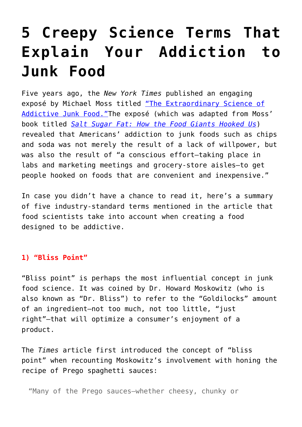# **[5 Creepy Science Terms That](https://intellectualtakeout.org/2018/04/5-creepy-science-terms-that-explain-your-addiction-to-junk-food/) [Explain Your Addiction to](https://intellectualtakeout.org/2018/04/5-creepy-science-terms-that-explain-your-addiction-to-junk-food/) [Junk Food](https://intellectualtakeout.org/2018/04/5-creepy-science-terms-that-explain-your-addiction-to-junk-food/)**

Five years ago, the *New York Times* published an engaging exposé by Michael Moss titled ["The Extraordinary Science of](https://www.nytimes.com/2013/02/24/magazine/the-extraordinary-science-of-junk-food.html) [Addictive Junk Food."](https://www.nytimes.com/2013/02/24/magazine/the-extraordinary-science-of-junk-food.html)The exposé (which was adapted from Moss' book titled *[Salt Sugar Fat: How the Food Giants Hooked Us](https://amzn.to/2Kjg2RZ)*) revealed that Americans' addiction to junk foods such as chips and soda was not merely the result of a lack of willpower, but was also the result of "a conscious effort—taking place in labs and marketing meetings and grocery-store aisles—to get people hooked on foods that are convenient and inexpensive."

In case you didn't have a chance to read it, here's a summary of five industry-standard terms mentioned in the article that food scientists take into account when creating a food designed to be addictive.

## **1) "Bliss Point"**

"Bliss point" is perhaps the most influential concept in junk food science. It was coined by Dr. Howard Moskowitz (who is also known as "Dr. Bliss") to refer to the "Goldilocks" amount of an ingredient—not too much, not too little, "just right"—that will optimize a consumer's enjoyment of a product.

The *Times* article first introduced the concept of "bliss point" when recounting Moskowitz's involvement with honing the recipe of Prego spaghetti sauces:

"Many of the Prego sauces—whether cheesy, chunky or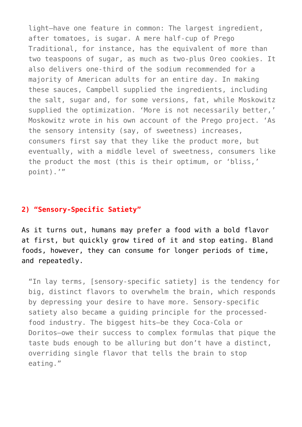light—have one feature in common: The largest ingredient, after tomatoes, is sugar. A mere half-cup of Prego Traditional, for instance, has the equivalent of more than two teaspoons of sugar, as much as two-plus Oreo cookies. It also delivers one-third of the sodium recommended for a majority of American adults for an entire day. In making these sauces, Campbell supplied the ingredients, including the salt, sugar and, for some versions, fat, while Moskowitz supplied the optimization. 'More is not necessarily better,' Moskowitz wrote in his own account of the Prego project. 'As the sensory intensity (say, of sweetness) increases, consumers first say that they like the product more, but eventually, with a middle level of sweetness, consumers like the product the most (this is their optimum, or 'bliss,' point).'"

## **2) "Sensory-Specific Satiety"**

As it turns out, humans may prefer a food with a bold flavor at first, but quickly grow tired of it and stop eating. Bland foods, however, they can consume for longer periods of time, and repeatedly.

"In lay terms, [sensory-specific satiety] is the tendency for big, distinct flavors to overwhelm the brain, which responds by depressing your desire to have more. Sensory-specific satiety also became a guiding principle for the processedfood industry. The biggest hits—be they Coca-Cola or Doritos—owe their success to complex formulas that pique the taste buds enough to be alluring but don't have a distinct, overriding single flavor that tells the brain to stop eating."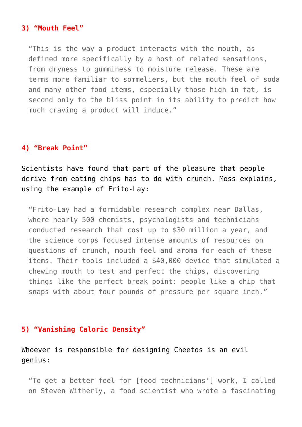#### **3) "Mouth Feel"**

"This is the way a product interacts with the mouth, as defined more specifically by a host of related sensations, from dryness to gumminess to moisture release. These are terms more familiar to sommeliers, but the mouth feel of soda and many other food items, especially those high in fat, is second only to the bliss point in its ability to predict how much craving a product will induce."

#### **4) "Break Point"**

Scientists have found that part of the pleasure that people derive from eating chips has to do with crunch. Moss explains, using the example of Frito-Lay:

"Frito-Lay had a formidable research complex near Dallas, where nearly 500 chemists, psychologists and technicians conducted research that cost up to \$30 million a year, and the science corps focused intense amounts of resources on questions of crunch, mouth feel and aroma for each of these items. Their tools included a \$40,000 device that simulated a chewing mouth to test and perfect the chips, discovering things like the perfect break point: people like a chip that snaps with about four pounds of pressure per square inch."

# **5) "Vanishing Caloric Density"**

# Whoever is responsible for designing Cheetos is an evil genius:

"To get a better feel for [food technicians'] work, I called on Steven Witherly, a food scientist who wrote a fascinating